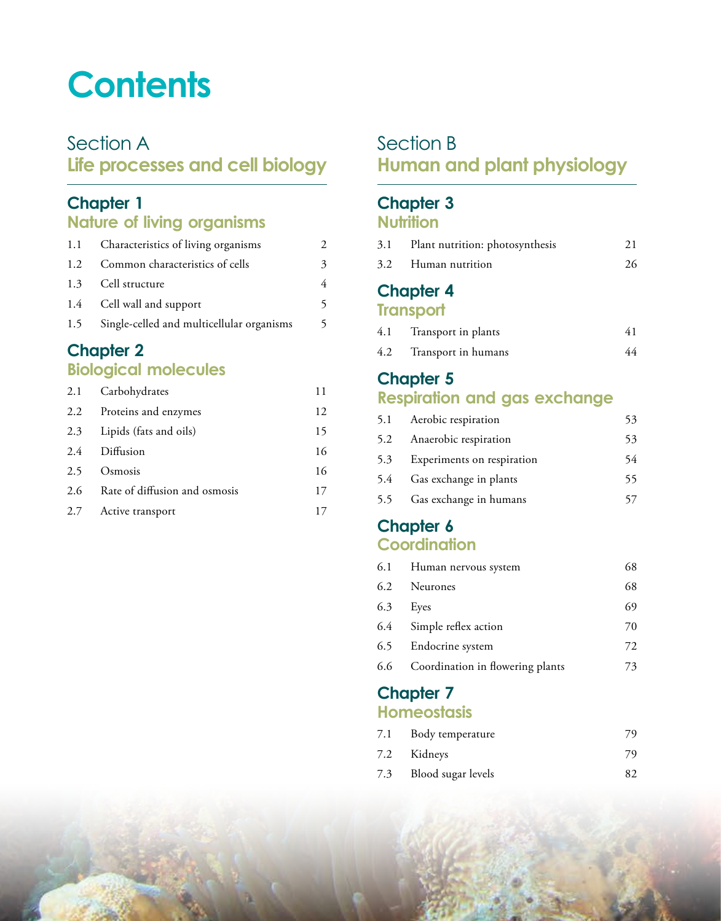# **Contents**

# Section A **Life processes and cell biology**

### **Chapter 1**

# **Nature of living organisms**

| 1.1 | Characteristics of living organisms       | $\mathfrak{D}$ |
|-----|-------------------------------------------|----------------|
| 1.2 | Common characteristics of cells           | 3              |
|     | 1.3 Cell structure                        | 4              |
|     | 1.4 Cell wall and support                 | 5              |
| 1.5 | Single-celled and multicellular organisms | 5              |
|     |                                           |                |

# **Chapter 2**

# **Biological molecules**

| 2.1 | Carbohydrates                 | 11 |
|-----|-------------------------------|----|
| 2.2 | Proteins and enzymes          | 12 |
|     | 2.3 Lipids (fats and oils)    | 15 |
|     | 2.4 Diffusion                 | 16 |
| 2.5 | Osmosis                       | 16 |
| 2.6 | Rate of diffusion and osmosis | 17 |
|     | 2.7 Active transport          | 17 |

# Section B **Human and plant physiology**

# **Chapter 3**

## **Nutrition**

| $\bigcap_{i=1}^n$ . The set         |    |
|-------------------------------------|----|
| 3.2 Human nutrition                 | 26 |
| 3.1 Plant nutrition: photosynthesis | 21 |
|                                     |    |

# **Chapter 4**

#### **Transport**

| 4.1 | Transport in plants     |  |
|-----|-------------------------|--|
|     | 4.2 Transport in humans |  |

## **Chapter 5**

#### **Respiration and gas exchange**

|     | 5.1 Aerobic respiration    | 53 |
|-----|----------------------------|----|
| 5.2 | Anaerobic respiration      | 53 |
| 5.3 | Experiments on respiration | 54 |
| 5.4 | Gas exchange in plants     | 55 |
| 5.5 | Gas exchange in humans     |    |

#### **Chapter 6 Coordination**

|     | 6.1 Human nervous system             | 68 |
|-----|--------------------------------------|----|
| 6.2 | Neurones                             | 68 |
| 6.3 | Eyes                                 | 69 |
|     | 6.4 Simple reflex action             | 70 |
|     | 6.5 Endocrine system                 | 72 |
|     | 6.6 Coordination in flowering plants | 73 |

## **Chapter 7 Homeostasis**

|     | 7.1 Body temperature | 79. |
|-----|----------------------|-----|
|     | 7.2 Kidneys          | 79. |
| 7.3 | Blood sugar levels   | 82  |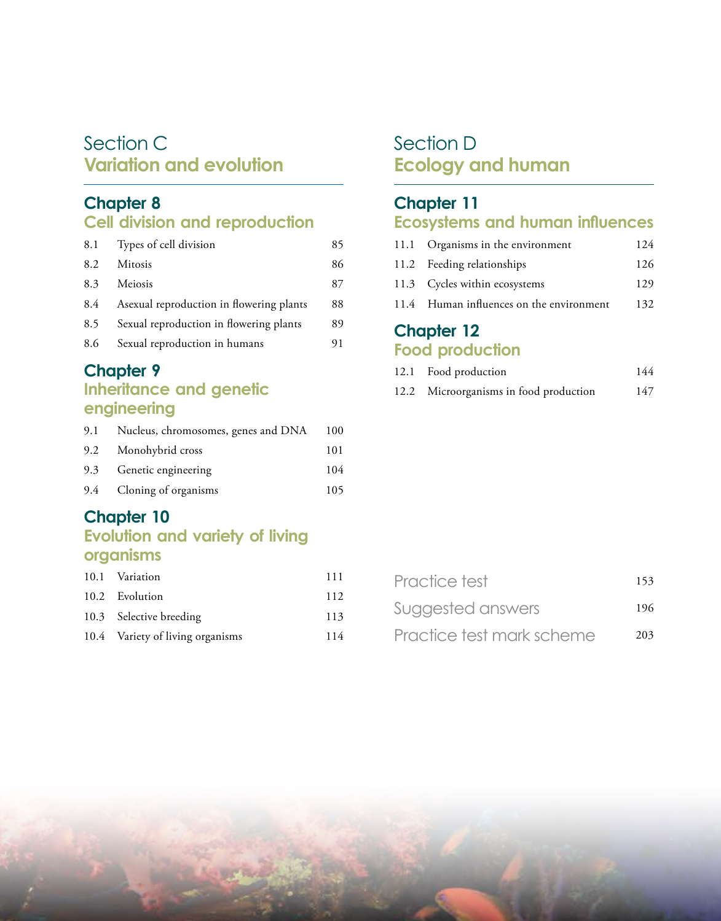# Section C **Variation and evolution**

#### **Chapter 8**

# **Cell division and reproduction**

| 8.1 | Types of cell division                   | 85 |
|-----|------------------------------------------|----|
| 8.2 | <b>Mitosis</b>                           | 86 |
| 8.3 | Meiosis                                  | 87 |
| 8.4 | Asexual reproduction in flowering plants | 88 |
| 8.5 | Sexual reproduction in flowering plants  | 89 |
| 8.6 | Sexual reproduction in humans            | 91 |

# **Chapter 9**

#### **Inheritance and genetic engineering**

| 9.1 | Nucleus, chromosomes, genes and DNA | -100 |
|-----|-------------------------------------|------|
| 9.2 | Monohybrid cross                    | 101  |
| 9.3 | Genetic engineering                 | 104  |
|     | 9.4 Cloning of organisms            | 105  |

## **Chapter 10**

#### **Evolution and variety of living organisms**

| 10.1 Variation                   | 111 |
|----------------------------------|-----|
| 10.2 Evolution                   | 112 |
| 10.3 Selective breeding          | 113 |
| 10.4 Variety of living organisms | 114 |
|                                  |     |

# Section D **Ecology and human**

# **Chapter 11**

### **Ecosystems and human influences**

| 11.1 Organisms in the environment        | 124 |
|------------------------------------------|-----|
| 11.2 Feeding relationships               | 126 |
| 11.3 Cycles within ecosystems            | 129 |
| 11.4 Human influences on the environment | 132 |
|                                          |     |

## **Chapter 12 Food production**

| 12.1 Food production                   | 144 |
|----------------------------------------|-----|
| 12.2 Microorganisms in food production | 147 |

| Practice test             | 153 |
|---------------------------|-----|
| Suggested answers         | 196 |
| Practice test mark scheme | 203 |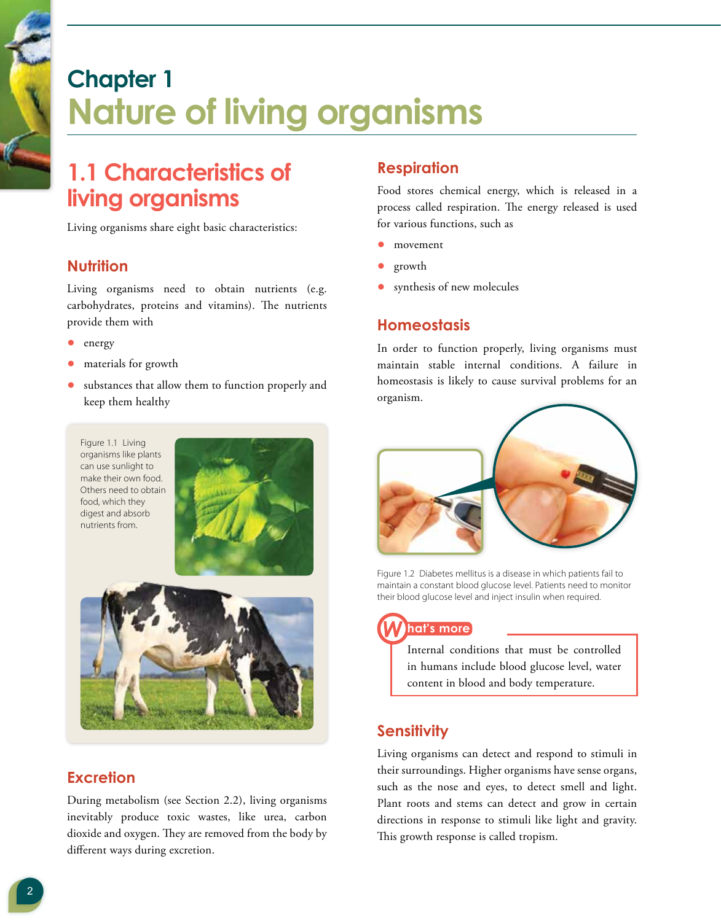# **Chapter 1 Nature of living organisms**

# **1.1 Characteristics of living organisms**

Living organisms share eight basic characteristics:

#### **Nutrition**

Living organisms need to obtain nutrients (e.g. carbohydrates, proteins and vitamins). The nutrients provide them with

- energy
- materials for growth
- substances that allow them to function properly and keep them healthy

Figure 1.1 Living organisms like plants can use sunlight to make their own food. Others need to obtain food, which they digest and absorb nutrients from.





#### **Excretion**

During metabolism (see Section 2.2), living organisms inevitably produce toxic wastes, like urea, carbon dioxide and oxygen. They are removed from the body by different ways during excretion.

#### **Respiration**

Food stores chemical energy, which is released in a process called respiration. The energy released is used for various functions, such as

- movement
- growth
- synthesis of new molecules

#### **Homeostasis**

In order to function properly, living organisms must maintain stable internal conditions. A failure in homeostasis is likely to cause survival problems for an organism.



Figure 1.2 Diabetes mellitus is a disease in which patients fail to maintain a constant blood glucose level. Patients need to monitor their blood glucose level and inject insulin when required.

**hat's more**

Internal conditions that must be controlled in humans include blood glucose level, water content in blood and body temperature.

#### **Sensitivity**

Living organisms can detect and respond to stimuli in their surroundings. Higher organisms have sense organs, such as the nose and eyes, to detect smell and light. Plant roots and stems can detect and grow in certain directions in response to stimuli like light and gravity. This growth response is called tropism.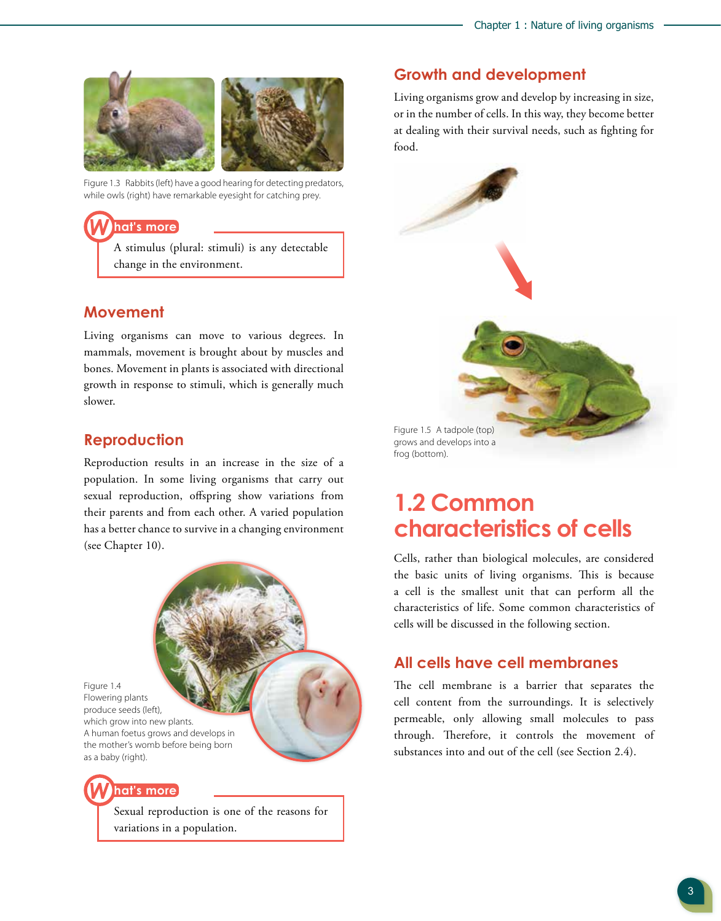

Figure 1.3 Rabbits (left) have a good hearing for detecting predators, while owls (right) have remarkable eyesight for catching prey.

# **hat's more**

A stimulus (plural: stimuli) is any detectable change in the environment.

#### **Movement**

Living organisms can move to various degrees. In mammals, movement is brought about by muscles and bones. Movement in plants is associated with directional growth in response to stimuli, which is generally much slower.

#### **Reproduction**

Reproduction results in an increase in the size of a population. In some living organisms that carry out sexual reproduction, offspring show variations from their parents and from each other. A varied population has a better chance to survive in a changing environment (see Chapter 10).





Sexual reproduction is one of the reasons for variations in a population.

#### **Growth and development**

Living organisms grow and develop by increasing in size, or in the number of cells. In this way, they become better at dealing with their survival needs, such as fighting for food.



# **1.2 Common characteristics of cells**

Cells, rather than biological molecules, are considered the basic units of living organisms. This is because a cell is the smallest unit that can perform all the characteristics of life. Some common characteristics of cells will be discussed in the following section.

#### **All cells have cell membranes**

The cell membrane is a barrier that separates the cell content from the surroundings. It is selectively permeable, only allowing small molecules to pass through. Therefore, it controls the movement of substances into and out of the cell (see Section 2.4).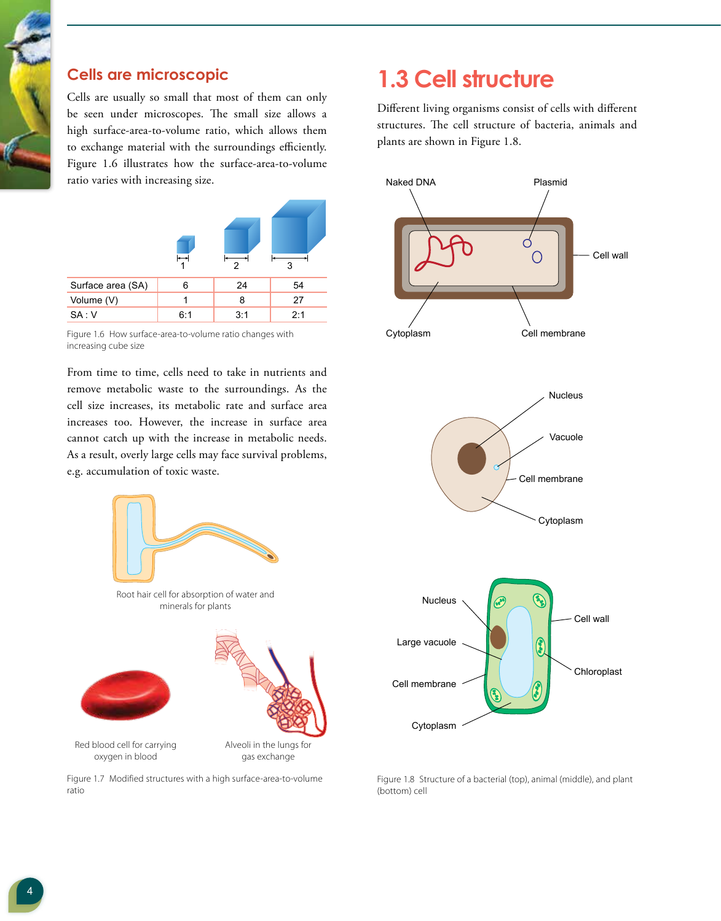

#### **Cells are microscopic**

Cells are usually so small that most of them can only be seen under microscopes. The small size allows a high surface-area-to-volume ratio, which allows them to exchange material with the surroundings efficiently. Figure 1.6 illustrates how the surface-area-to-volume ratio varies with increasing size.

| Surface area (SA) | 6   | 24  | 54  |
|-------------------|-----|-----|-----|
| Volume (V)        | 1   | 8   | 27  |
| SA:V              | 6:1 | 3:1 | 2:1 |

Figure 1.6 How surface-area-to-volume ratio changes with increasing cube size

From time to time, cells need to take in nutrients and remove metabolic waste to the surroundings. As the cell size increases, its metabolic rate and surface area increases too. However, the increase in surface area cannot catch up with the increase in metabolic needs. As a result, overly large cells may face survival problems, e.g. accumulation of toxic waste.







Red blood cell for carrying oxygen in blood

Alveoli in the lungs for gas exchange

Figure 1.7 Modified structures with a high surface-area-to-volume ratio

# **1.3 Cell structure**

Different living organisms consist of cells with different structures. The cell structure of bacteria, animals and plants are shown in Figure 1.8.



Figure 1.8 Structure of a bacterial (top), animal (middle), and plant (bottom) cell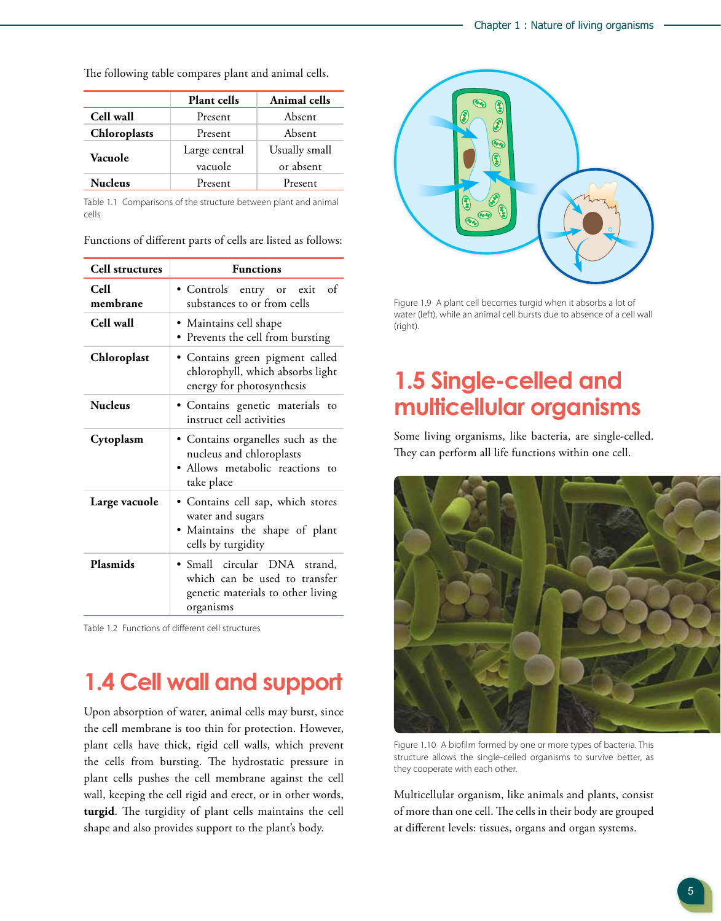|              | <b>Plant</b> cells | Animal cells  |
|--------------|--------------------|---------------|
| Cell wall    | Present            | Absent        |
| Chloroplasts | Present            | Absent        |
| Vacuole      | Large central      | Usually small |

The following table compares plant and animal cells.

Table 1.1 Comparisons of the structure between plant and animal cells

vacuole

Nucleus Present Present

or absent

| <b>Cell structures</b>  | <b>Functions</b>                                                                                                |  |
|-------------------------|-----------------------------------------------------------------------------------------------------------------|--|
| <b>Cell</b><br>membrane | • Controls entry or exit of<br>substances to or from cells                                                      |  |
| Cell wall               | • Maintains cell shape<br>• Prevents the cell from bursting                                                     |  |
| Chloroplast             | • Contains green pigment called<br>chlorophyll, which absorbs light<br>energy for photosynthesis                |  |
| <b>Nucleus</b>          | · Contains genetic materials to<br>instruct cell activities                                                     |  |
| Cytoplasm               | • Contains organelles such as the<br>nucleus and chloroplasts<br>• Allows metabolic reactions to<br>take place  |  |
| Large vacuole           | · Contains cell sap, which stores<br>water and sugars<br>· Maintains the shape of plant<br>cells by turgidity   |  |
| Plasmids                | • Small circular DNA strand,<br>which can be used to transfer<br>genetic materials to other living<br>organisms |  |

Functions of different parts of cells are listed as follows:

Table 1.2 Functions of different cell structures

# **1.4 Cell wall and support**

Upon absorption of water, animal cells may burst, since the cell membrane is too thin for protection. However, plant cells have thick, rigid cell walls, which prevent the cells from bursting. The hydrostatic pressure in plant cells pushes the cell membrane against the cell wall, keeping the cell rigid and erect, or in other words, **turgid**. The turgidity of plant cells maintains the cell shape and also provides support to the plant's body.



Figure 1.9 A plant cell becomes turgid when it absorbs a lot of water (left), while an animal cell bursts due to absence of a cell wall (right).

# **1.5 Single-celled and multicellular organisms**

Some living organisms, like bacteria, are single-celled. They can perform all life functions within one cell.



Figure 1.10 A biofilm formed by one or more types of bacteria. This structure allows the single-celled organisms to survive better, as they cooperate with each other.

Multicellular organism, like animals and plants, consist of more than one cell. The cells in their body are grouped at different levels: tissues, organs and organ systems.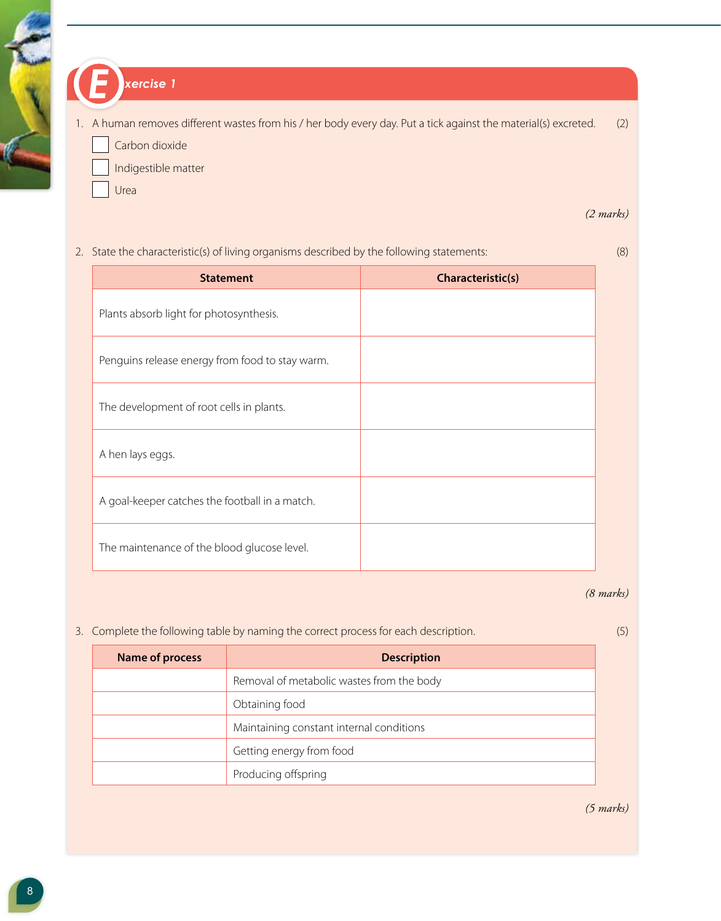

#### *xercise 1*

1. A human removes different wastes from his / her body every day. Put a tick against the material(s) excreted. (2)

Carbon dioxide Indigestible matter Urea

#### *(2 marks)*

#### 2. State the characteristic(s) of living organisms described by the following statements: (8)

| <b>Statement</b>                                | Characteristic(s) |
|-------------------------------------------------|-------------------|
| Plants absorb light for photosynthesis.         |                   |
| Penguins release energy from food to stay warm. |                   |
| The development of root cells in plants.        |                   |
| A hen lays eggs.                                |                   |
| A goal-keeper catches the football in a match.  |                   |
| The maintenance of the blood glucose level.     |                   |

*(8 marks)*

3. Complete the following table by naming the correct process for each description. (5)

| <b>Name of process</b> | <b>Description</b>                        |
|------------------------|-------------------------------------------|
|                        | Removal of metabolic wastes from the body |
|                        | Obtaining food                            |
|                        | Maintaining constant internal conditions  |
|                        | Getting energy from food                  |
|                        | Producing offspring                       |

*(5 marks)*